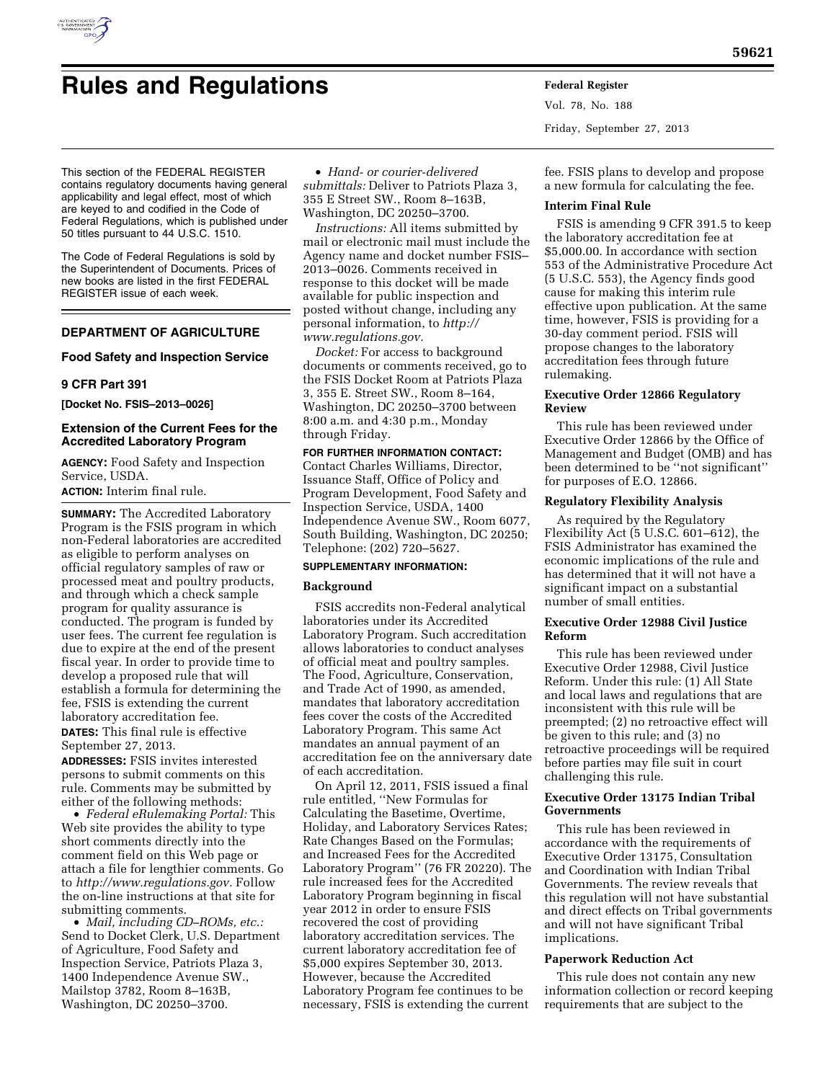

# **Rules and Regulations Federal Register**

• *Hand- or courier-delivered submittals:* Deliver to Patriots Plaza 3, 355 E Street SW., Room 8–163B, Washington, DC 20250–3700.

> *Instructions:* All items submitted by mail or electronic mail must include the Agency name and docket number FSIS– 2013–0026. Comments received in response to this docket will be made available for public inspection and posted without change, including any personal information, to *[http://](http://www.regulations.gov)  [www.regulations.gov.](http://www.regulations.gov)*

*Docket:* For access to background documents or comments received, go to the FSIS Docket Room at Patriots Plaza 3, 355 E. Street SW., Room 8–164, Washington, DC 20250–3700 between 8:00 a.m. and 4:30 p.m., Monday through Friday.

# **FOR FURTHER INFORMATION CONTACT:**

Contact Charles Williams, Director, Issuance Staff, Office of Policy and Program Development, Food Safety and Inspection Service, USDA, 1400 Independence Avenue SW., Room 6077, South Building, Washington, DC 20250; Telephone: (202) 720–5627.

## **SUPPLEMENTARY INFORMATION:**

#### **Background**

FSIS accredits non-Federal analytical laboratories under its Accredited Laboratory Program. Such accreditation allows laboratories to conduct analyses of official meat and poultry samples. The Food, Agriculture, Conservation, and Trade Act of 1990, as amended, mandates that laboratory accreditation fees cover the costs of the Accredited Laboratory Program. This same Act mandates an annual payment of an accreditation fee on the anniversary date of each accreditation.

On April 12, 2011, FSIS issued a final rule entitled, ''New Formulas for Calculating the Basetime, Overtime, Holiday, and Laboratory Services Rates; Rate Changes Based on the Formulas; and Increased Fees for the Accredited Laboratory Program'' (76 FR 20220). The rule increased fees for the Accredited Laboratory Program beginning in fiscal year 2012 in order to ensure FSIS recovered the cost of providing laboratory accreditation services. The current laboratory accreditation fee of \$5,000 expires September 30, 2013. However, because the Accredited Laboratory Program fee continues to be necessary, FSIS is extending the current

Vol. 78, No. 188 Friday, September 27, 2013

fee. FSIS plans to develop and propose a new formula for calculating the fee.

#### **Interim Final Rule**

FSIS is amending 9 CFR 391.5 to keep the laboratory accreditation fee at \$5,000.00. In accordance with section 553 of the Administrative Procedure Act (5 U.S.C. 553), the Agency finds good cause for making this interim rule effective upon publication. At the same time, however, FSIS is providing for a 30-day comment period. FSIS will propose changes to the laboratory accreditation fees through future rulemaking.

# **Executive Order 12866 Regulatory Review**

This rule has been reviewed under Executive Order 12866 by the Office of Management and Budget (OMB) and has been determined to be ''not significant'' for purposes of E.O. 12866.

# **Regulatory Flexibility Analysis**

As required by the Regulatory Flexibility Act (5 U.S.C. 601–612), the FSIS Administrator has examined the economic implications of the rule and has determined that it will not have a significant impact on a substantial number of small entities.

# **Executive Order 12988 Civil Justice Reform**

This rule has been reviewed under Executive Order 12988, Civil Justice Reform. Under this rule: (1) All State and local laws and regulations that are inconsistent with this rule will be preempted; (2) no retroactive effect will be given to this rule; and (3) no retroactive proceedings will be required before parties may file suit in court challenging this rule.

# **Executive Order 13175 Indian Tribal Governments**

This rule has been reviewed in accordance with the requirements of Executive Order 13175, Consultation and Coordination with Indian Tribal Governments. The review reveals that this regulation will not have substantial and direct effects on Tribal governments and will not have significant Tribal implications.

# **Paperwork Reduction Act**

This rule does not contain any new information collection or record keeping requirements that are subject to the

This section of the FEDERAL REGISTER contains regulatory documents having general applicability and legal effect, most of which are keyed to and codified in the Code of Federal Regulations, which is published under 50 titles pursuant to 44 U.S.C. 1510.

The Code of Federal Regulations is sold by the Superintendent of Documents. Prices of new books are listed in the first FEDERAL REGISTER issue of each week.

# **DEPARTMENT OF AGRICULTURE**

# **Food Safety and Inspection Service**

# **9 CFR Part 391**

**[Docket No. FSIS–2013–0026]** 

# **Extension of the Current Fees for the Accredited Laboratory Program**

**AGENCY:** Food Safety and Inspection Service, USDA.

**ACTION:** Interim final rule.

**SUMMARY:** The Accredited Laboratory Program is the FSIS program in which non-Federal laboratories are accredited as eligible to perform analyses on official regulatory samples of raw or processed meat and poultry products, and through which a check sample program for quality assurance is conducted. The program is funded by user fees. The current fee regulation is due to expire at the end of the present fiscal year. In order to provide time to develop a proposed rule that will establish a formula for determining the fee, FSIS is extending the current laboratory accreditation fee.

**DATES:** This final rule is effective September 27, 2013.

**ADDRESSES:** FSIS invites interested persons to submit comments on this rule. Comments may be submitted by either of the following methods:

• *Federal eRulemaking Portal:* This Web site provides the ability to type short comments directly into the comment field on this Web page or attach a file for lengthier comments. Go to *[http://www.regulations.gov.](http://www.regulations.gov)* Follow the on-line instructions at that site for submitting comments.

• *Mail, including CD–ROMs, etc.:*  Send to Docket Clerk, U.S. Department of Agriculture, Food Safety and Inspection Service, Patriots Plaza 3, 1400 Independence Avenue SW., Mailstop 3782, Room 8–163B, Washington, DC 20250–3700.